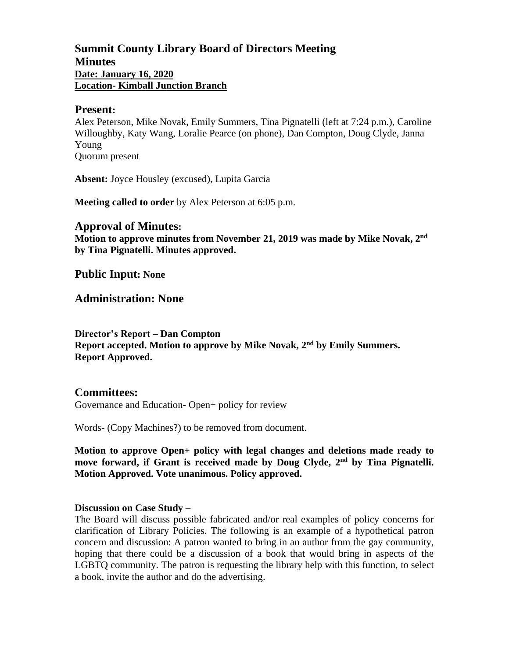# **Summit County Library Board of Directors Meeting Minutes Date: January 16, 2020 Location- Kimball Junction Branch**

#### **Present:**

Alex Peterson, Mike Novak, Emily Summers, Tina Pignatelli (left at 7:24 p.m.), Caroline Willoughby, Katy Wang, Loralie Pearce (on phone), Dan Compton, Doug Clyde, Janna Young Quorum present

**Absent:** Joyce Housley (excused), Lupita Garcia

**Meeting called to order** by Alex Peterson at 6:05 p.m.

### **Approval of Minutes:**

**Motion to approve minutes from November 21, 2019 was made by Mike Novak, 2 nd by Tina Pignatelli. Minutes approved.** 

**Public Input: None**

**Administration: None**

**Director's Report – Dan Compton Report accepted. Motion to approve by Mike Novak, 2nd by Emily Summers. Report Approved.**

## **Committees:**

Governance and Education- Open+ policy for review

Words- (Copy Machines?) to be removed from document.

**Motion to approve Open+ policy with legal changes and deletions made ready to move forward, if Grant is received made by Doug Clyde, 2nd by Tina Pignatelli. Motion Approved. Vote unanimous. Policy approved.**

### **Discussion on Case Study –**

The Board will discuss possible fabricated and/or real examples of policy concerns for clarification of Library Policies. The following is an example of a hypothetical patron concern and discussion: A patron wanted to bring in an author from the gay community, hoping that there could be a discussion of a book that would bring in aspects of the LGBTQ community. The patron is requesting the library help with this function, to select a book, invite the author and do the advertising.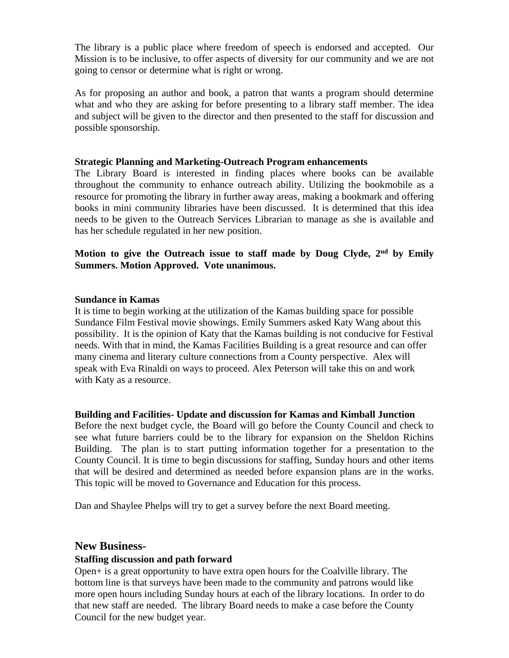The library is a public place where freedom of speech is endorsed and accepted. Our Mission is to be inclusive, to offer aspects of diversity for our community and we are not going to censor or determine what is right or wrong.

As for proposing an author and book, a patron that wants a program should determine what and who they are asking for before presenting to a library staff member. The idea and subject will be given to the director and then presented to the staff for discussion and possible sponsorship.

### **Strategic Planning and Marketing-Outreach Program enhancements**

The Library Board is interested in finding places where books can be available throughout the community to enhance outreach ability. Utilizing the bookmobile as a resource for promoting the library in further away areas, making a bookmark and offering books in mini community libraries have been discussed. It is determined that this idea needs to be given to the Outreach Services Librarian to manage as she is available and has her schedule regulated in her new position.

## **Motion to give the Outreach issue to staff made by Doug Clyde, 2nd by Emily Summers. Motion Approved. Vote unanimous.**

### **Sundance in Kamas**

It is time to begin working at the utilization of the Kamas building space for possible Sundance Film Festival movie showings. Emily Summers asked Katy Wang about this possibility. It is the opinion of Katy that the Kamas building is not conducive for Festival needs. With that in mind, the Kamas Facilities Building is a great resource and can offer many cinema and literary culture connections from a County perspective. Alex will speak with Eva Rinaldi on ways to proceed. Alex Peterson will take this on and work with Katy as a resource.

### **Building and Facilities- Update and discussion for Kamas and Kimball Junction**

Before the next budget cycle, the Board will go before the County Council and check to see what future barriers could be to the library for expansion on the Sheldon Richins Building. The plan is to start putting information together for a presentation to the County Council. It is time to begin discussions for staffing, Sunday hours and other items that will be desired and determined as needed before expansion plans are in the works. This topic will be moved to Governance and Education for this process.

Dan and Shaylee Phelps will try to get a survey before the next Board meeting.

## **New Business-**

## **Staffing discussion and path forward**

Open+ is a great opportunity to have extra open hours for the Coalville library. The bottom line is that surveys have been made to the community and patrons would like more open hours including Sunday hours at each of the library locations. In order to do that new staff are needed. The library Board needs to make a case before the County Council for the new budget year.